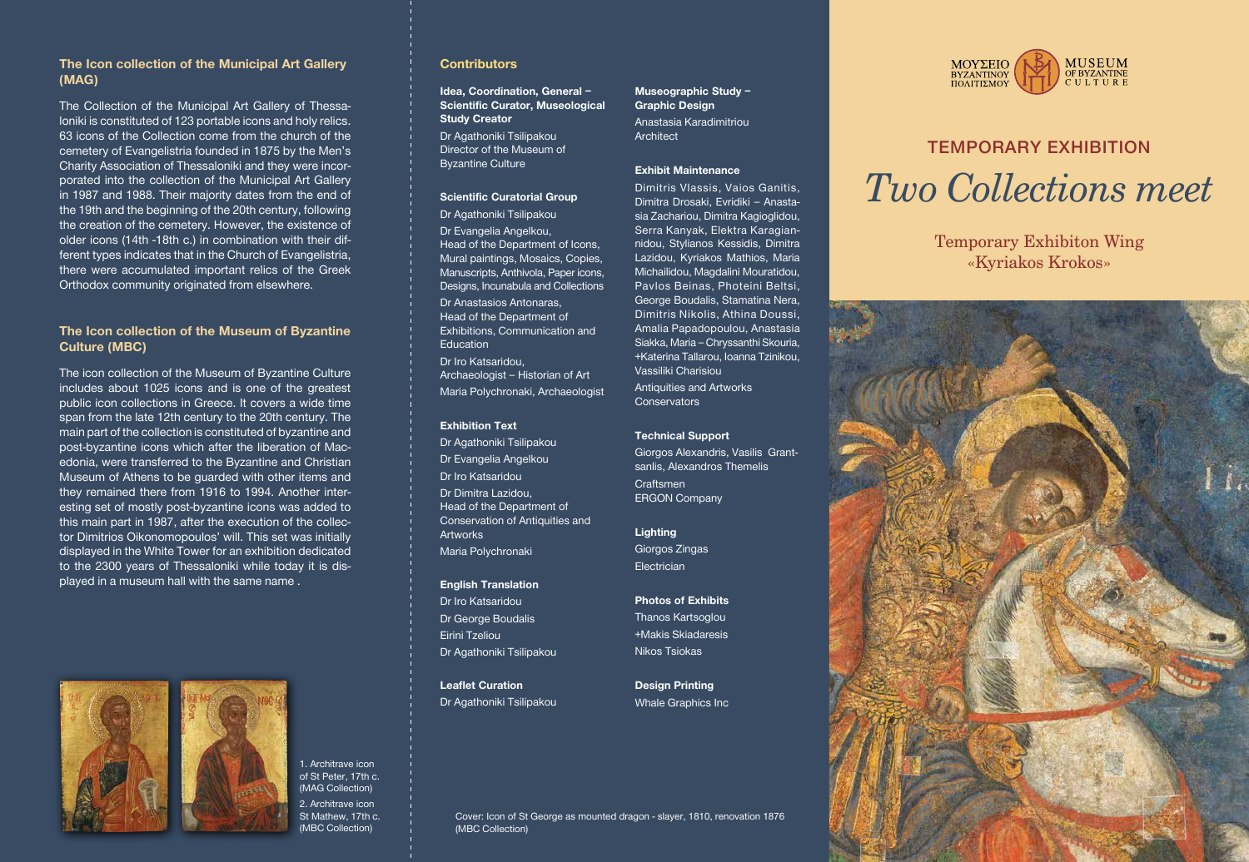# TEMPORARY EXHIBITION *Two Collections meet*





Temporary Exhibiton Wing «Kyriakos Krokos»

Cover: Icon of St George as mounted dragon - slayer, 1810, renovation 1876 (MBC Collection)

# **The Icon collection of the Municipal Art Gallery (MAG)**

The Collection of the Municipal Art Gallery of Thessaloniki is constituted of 123 portable icons and holy relics. 63 icons of the Collection come from the church of the cemetery of Evangelistria founded in 1875 by the Men's Charity Association of Thessaloniki and they were incorporated into the collection of the Municipal Art Gallery in 1987 and 1988. Their majority dates from the end of the 19th and the beginning of the 20th century, following the creation of the cemetery. However, the existence of older icons (14th -18th c.) in combination with their different types indicates that in the Church of Evangelistria, there were accumulated important relics of the Greek Orthodox community originated from elsewhere.

# **The Icon collection of the Museum of Byzantine Culture (MBC)**

The icon collection of the Museum of Byzantine Culture includes about 1025 icons and is one of the greatest public icon collections in Greece. It covers a wide time span from the late 12th century to the 20th century. The main part of the collection is constituted of byzantine and post-byzantine icons which after the liberation of Macedonia, were transferred to the Byzantine and Christian Museum of Athens to be guarded with other items and they remained there from 1916 to 1994. Another interesting set of mostly post-byzantine icons was added to this main part in 1987, after the execution of the collector Dimitrios Oikonomopoulos' will. This set was initially displayed in the White Tower for an exhibition dedicated to the 2300 years of Thessaloniki while today it is displayed in a museum hall with the same name .



Giorgos Zingas **Electrician** 

1. Architrave icon of St Peter, 17th c. (MAG Collection) 2. Architrave icon St Mathew, 17th c. (MBC Collection)

### **Contributors**

**Idea, Coordination, General – Scientific Curator, Museological Study Creator**

Dr Agathoniki Tsilipakou Director of the Museum of Byzantine Culture

#### **Scientific Curatorial Group**

Dr Agathoniki Tsilipakou Dr Evangelia Angelkou, Head of the Department of Icons, Mural paintings, Mosaics, Copies, Manuscripts, Anthivola, Paper icons, Designs, Incunabula and Collections

Dr Anastasios Antonaras, Head of the Department of Exhibitions, Communication and **Education** Dr Iro Katsaridou, Archaeologist – Historian of Art

Maria Polychronaki, Archaeologist

#### **Exhibition Text**

Dr Agathoniki Tsilipakou Dr Evangelia Angelkou Dr Iro Katsaridou Dr Dimitra Lazidou, Head of the Department of Conservation of Antiquities and Artworks Maria Polychronaki

**English Translation**  Dr Iro Katsaridou Dr George Boudalis Eirini Tzeliou Dr Agathoniki Tsilipakou

**Leaflet Curation**  Dr Agathoniki Tsilipakou

## **Museographic Study – Graphic Design**  Anastasia Karadimitriou

**Architect** 

#### **Exhibit Maintenance**

Dimitris Vlassis, Vaios Ganitis, Dimitra Drosaki, Evridiki – Anastasia Zachariou, Dimitra Kagioglidou, Serra Kanyak, Elektra Karagiannidou, Stylianos Kessidis, Dimitra Lazidou, Kyriakos Mathios, Maria Michailidou, Magdalini Mouratidou, Pavlos Beinas, Photeini Beltsi, George Boudalis, Stamatina Nera, Dimitris Nikolis, Athina Doussi, Amalia Papadopoulou, Anastasia Siakka, Maria – Chryssanthi Skouria, +Katerina Tallarou, Ioanna Tzinikou, Vassiliki Charisiou Antiquities and Artworks

**Conservators** 

#### **Technical Support**

Giorgos Alexandris, Vasilis Grantsanlis, Alexandros Themelis **Craftsmen** ERGON Company

#### **Lighting**

## **Photos of Exhibits**

Thanos Kartsoglou +Makis Skiadaresis Nikos Tsiokas

**Design Printing** Whale Graphics Inc